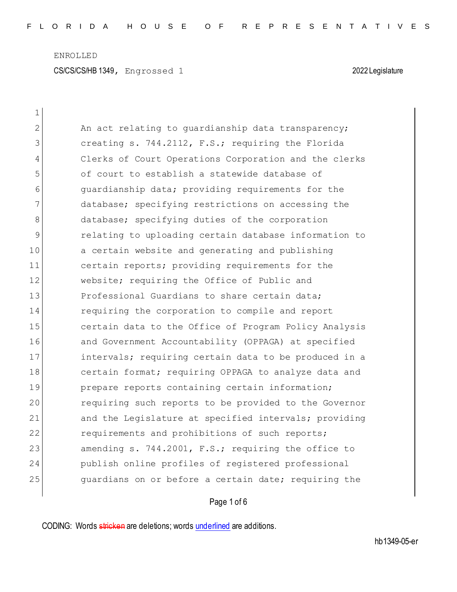ENROLLED CS/CS/CS/HB 1349, Engrossed 1 2022 Legislature

 $\mathbf{1}$ 

| $\overline{2}$ | An act relating to quardianship data transparency;    |
|----------------|-------------------------------------------------------|
| 3              | creating s. 744.2112, F.S.; requiring the Florida     |
| 4              | Clerks of Court Operations Corporation and the clerks |
| 5              | of court to establish a statewide database of         |
| 6              | quardianship data; providing requirements for the     |
| 7              | database; specifying restrictions on accessing the    |
| 8              | database; specifying duties of the corporation        |
| 9              | relating to uploading certain database information to |
| 10             | a certain website and generating and publishing       |
| 11             | certain reports; providing requirements for the       |
| 12             | website; requiring the Office of Public and           |
| 13             | Professional Guardians to share certain data;         |
| 14             | requiring the corporation to compile and report       |
| 15             | certain data to the Office of Program Policy Analysis |
| 16             | and Government Accountability (OPPAGA) at specified   |
| 17             | intervals; requiring certain data to be produced in a |
| 18             | certain format; requiring OPPAGA to analyze data and  |
| 19             | prepare reports containing certain information;       |
| 20             | requiring such reports to be provided to the Governor |
| 21             | and the Legislature at specified intervals; providing |
| 22             | requirements and prohibitions of such reports;        |
| 23             | amending s. 744.2001, F.S.; requiring the office to   |
| 24             | publish online profiles of registered professional    |
| 25             | quardians on or before a certain date; requiring the  |
|                |                                                       |

## Page 1 of 6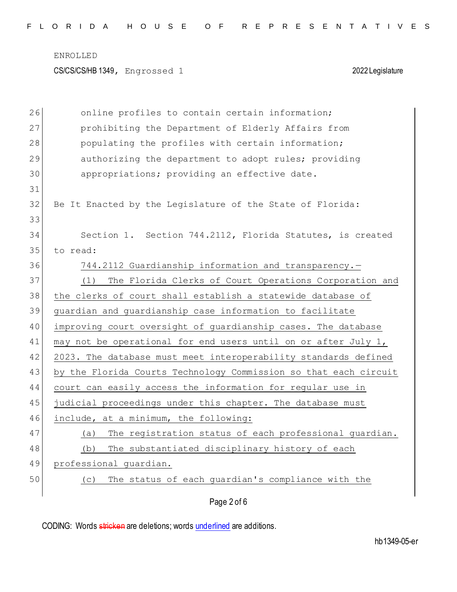CS/CS/CS/HB 1349, Engrossed 1 2022 Legislature

| 26 | online profiles to contain certain information;                  |
|----|------------------------------------------------------------------|
| 27 | prohibiting the Department of Elderly Affairs from               |
| 28 | populating the profiles with certain information;                |
| 29 | authorizing the department to adopt rules; providing             |
| 30 | appropriations; providing an effective date.                     |
| 31 |                                                                  |
| 32 | Be It Enacted by the Legislature of the State of Florida:        |
| 33 |                                                                  |
| 34 | Section 1. Section 744.2112, Florida Statutes, is created        |
| 35 | to read:                                                         |
| 36 | 744.2112 Guardianship information and transparency.-             |
| 37 | The Florida Clerks of Court Operations Corporation and<br>(1)    |
| 38 | the clerks of court shall establish a statewide database of      |
| 39 | guardian and guardianship case information to facilitate         |
| 40 | improving court oversight of guardianship cases. The database    |
| 41 | may not be operational for end users until on or after July 1,   |
| 42 | 2023. The database must meet interoperability standards defined  |
| 43 | by the Florida Courts Technology Commission so that each circuit |
| 44 | court can easily access the information for regular use in       |
| 45 | judicial proceedings under this chapter. The database must       |
| 46 | include, at a minimum, the following:                            |
| 47 | The registration status of each professional guardian.<br>(a)    |
| 48 | The substantiated disciplinary history of each<br>(b)            |
| 49 | professional guardian.                                           |
| 50 | The status of each guardian's compliance with the<br>(C)         |
|    | Page 2 of 6                                                      |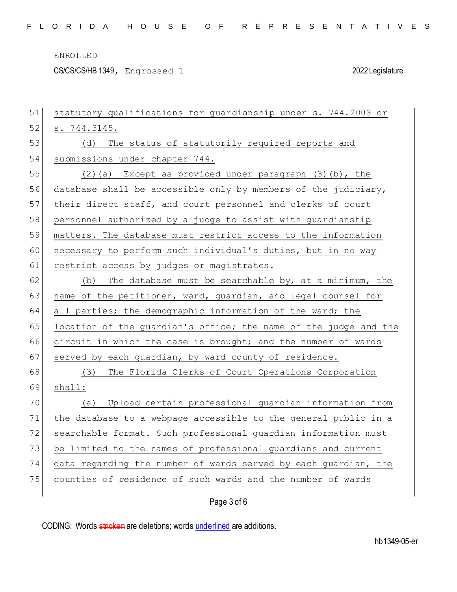CS/CS/CS/HB 1349, Engrossed 1 2022 Legislature

| 51 | statutory qualifications for guardianship under s. 744.2003 or   |
|----|------------------------------------------------------------------|
| 52 | s. 744.3145.                                                     |
| 53 | (d) The status of statutorily required reports and               |
| 54 | submissions under chapter 744.                                   |
| 55 | $(2)$ (a) Except as provided under paragraph $(3)$ (b), the      |
| 56 | database shall be accessible only by members of the judiciary,   |
| 57 | their direct staff, and court personnel and clerks of court      |
| 58 | personnel authorized by a judge to assist with guardianship      |
| 59 | matters. The database must restrict access to the information    |
| 60 | necessary to perform such individual's duties, but in no way     |
| 61 | restrict access by judges or magistrates.                        |
| 62 | The database must be searchable by, at a minimum, the<br>(b)     |
| 63 | name of the petitioner, ward, guardian, and legal counsel for    |
| 64 | all parties; the demographic information of the ward; the        |
| 65 | location of the guardian's office; the name of the judge and the |
| 66 | circuit in which the case is brought; and the number of wards    |
| 67 | served by each guardian, by ward county of residence.            |
| 68 | The Florida Clerks of Court Operations Corporation<br>(3)        |
| 69 | shal:                                                            |
| 70 | Upload certain professional guardian information from<br>(a)     |
| 71 | the database to a webpage accessible to the general public in a  |
| 72 | searchable format. Such professional guardian information must   |
| 73 | be limited to the names of professional guardians and current    |
| 74 | data regarding the number of wards served by each guardian, the  |
| 75 | counties of residence of such wards and the number of wards      |
|    |                                                                  |

Page 3 of 6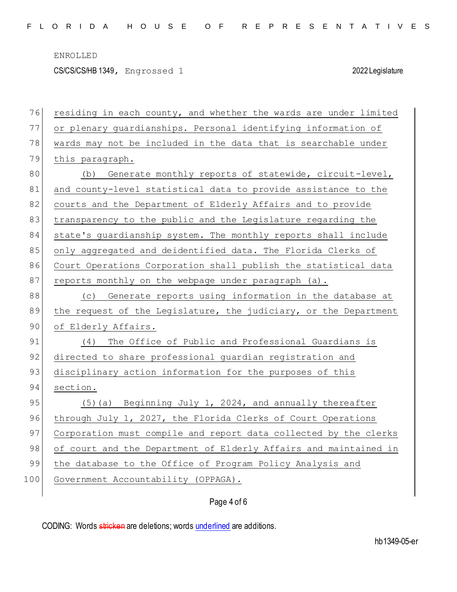CS/CS/CS/HB 1349, Engrossed 1 2022 Legislature

| 76  | residing in each county, and whether the wards are under limited |
|-----|------------------------------------------------------------------|
| 77  | or plenary guardianships. Personal identifying information of    |
| 78  | wards may not be included in the data that is searchable under   |
| 79  | this paragraph.                                                  |
| 80  | (b) Generate monthly reports of statewide, circuit-level,        |
| 81  | and county-level statistical data to provide assistance to the   |
| 82  | courts and the Department of Elderly Affairs and to provide      |
| 83  | transparency to the public and the Legislature regarding the     |
| 84  | state's guardianship system. The monthly reports shall include   |
| 85  | only aggregated and deidentified data. The Florida Clerks of     |
| 86  | Court Operations Corporation shall publish the statistical data  |
| 87  | reports monthly on the webpage under paragraph (a).              |
| 88  | (c) Generate reports using information in the database at        |
| 89  | the request of the Legislature, the judiciary, or the Department |
| 90  | of Elderly Affairs.                                              |
| 91  | (4) The Office of Public and Professional Guardians is           |
| 92  | directed to share professional guardian registration and         |
| 93  | disciplinary action information for the purposes of this         |
| 94  | section.                                                         |
| 95  | (5) (a) Beginning July 1, 2024, and annually thereafter          |
| 96  | through July 1, 2027, the Florida Clerks of Court Operations     |
| 97  | Corporation must compile and report data collected by the clerks |
| 98  | of court and the Department of Elderly Affairs and maintained in |
| 99  | the database to the Office of Program Policy Analysis and        |
| 100 | Government Accountability (OPPAGA).                              |
|     |                                                                  |

Page 4 of 6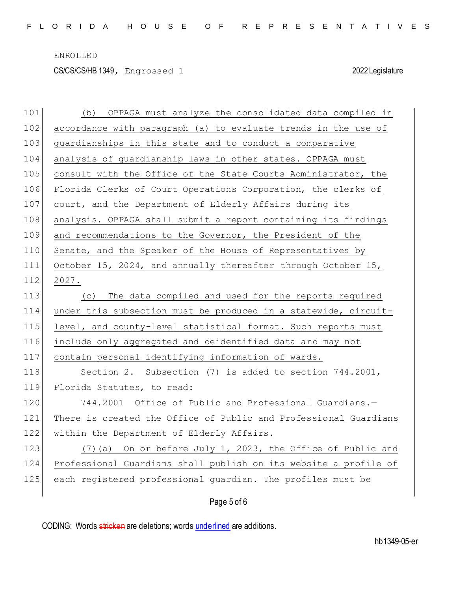CS/CS/CS/HB 1349, Engrossed 1 2022 Legislature

| 101 | OPPAGA must analyze the consolidated data compiled in<br>(b)     |
|-----|------------------------------------------------------------------|
| 102 | accordance with paragraph (a) to evaluate trends in the use of   |
| 103 | guardianships in this state and to conduct a comparative         |
| 104 | analysis of guardianship laws in other states. OPPAGA must       |
| 105 | consult with the Office of the State Courts Administrator, the   |
| 106 | Florida Clerks of Court Operations Corporation, the clerks of    |
| 107 | court, and the Department of Elderly Affairs during its          |
| 108 | analysis. OPPAGA shall submit a report containing its findings   |
| 109 | and recommendations to the Governor, the President of the        |
| 110 | Senate, and the Speaker of the House of Representatives by       |
| 111 | October 15, 2024, and annually thereafter through October 15,    |
| 112 | 2027.                                                            |
| 113 | The data compiled and used for the reports required<br>(C)       |
| 114 | under this subsection must be produced in a statewide, circuit-  |
| 115 | level, and county-level statistical format. Such reports must    |
| 116 | include only aggregated and deidentified data and may not        |
| 117 | contain personal identifying information of wards.               |
| 118 | Section 2. Subsection (7) is added to section 744.2001,          |
| 119 | Florida Statutes, to read:                                       |
| 120 | 744.2001 Office of Public and Professional Guardians.-           |
| 121 | There is created the Office of Public and Professional Guardians |
| 122 | within the Department of Elderly Affairs.                        |
| 123 | On or before July 1, 2023, the Office of Public and<br>$(7)$ (a) |
| 124 | Professional Guardians shall publish on its website a profile of |
| 125 | each registered professional quardian. The profiles must be      |
|     | Page 5 of 6                                                      |
|     |                                                                  |

CODING: Words stricken are deletions; words underlined are additions.

hb1349-05-er